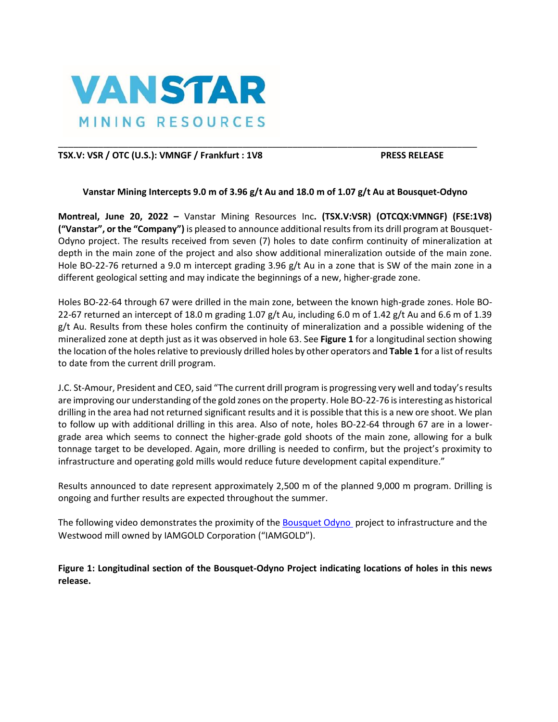

# TSX.V: VSR / OTC (U.S.): VMNGF / Frankfurt : 1V8 PRESS RELEASE

## **Vanstar Mining Intercepts 9.0 m of 3.96 g/t Au and 18.0 m of 1.07 g/t Au at Bousquet-Odyno**

\_\_\_\_\_\_\_\_\_\_\_\_\_\_\_\_\_\_\_\_\_\_\_\_\_\_\_\_\_\_\_\_\_\_\_\_\_\_\_\_\_\_\_\_\_\_\_\_\_\_\_\_\_\_\_\_\_\_\_\_\_\_\_\_\_\_\_\_\_\_\_\_\_\_\_\_\_\_\_\_\_\_\_\_

**Montreal, June 20, 2022 –** Vanstar Mining Resources Inc**. (TSX.V:VSR) (OTCQX:VMNGF) (FSE:1V8) ("Vanstar", or the "Company")** is pleased to announce additional results from its drill program at Bousquet-Odyno project. The results received from seven (7) holes to date confirm continuity of mineralization at depth in the main zone of the project and also show additional mineralization outside of the main zone. Hole BO-22-76 returned a 9.0 m intercept grading 3.96 g/t Au in a zone that is SW of the main zone in a different geological setting and may indicate the beginnings of a new, higher-grade zone.

Holes BO-22-64 through 67 were drilled in the main zone, between the known high-grade zones. Hole BO-22-67 returned an intercept of 18.0 m grading 1.07 g/t Au, including 6.0 m of 1.42 g/t Au and 6.6 m of 1.39 g/t Au. Results from these holes confirm the continuity of mineralization and a possible widening of the mineralized zone at depth just as it was observed in hole 63. See **Figure 1** for a longitudinal section showing the location of the holes relative to previously drilled holes by other operators and **Table 1** for a list of results to date from the current drill program.

J.C. St-Amour, President and CEO, said "The current drill program is progressing very well and today's results are improving our understanding of the gold zones on the property. Hole BO-22-76 is interesting as historical drilling in the area had not returned significant results and it is possible that this is a new ore shoot. We plan to follow up with additional drilling in this area. Also of note, holes BO-22-64 through 67 are in a lowergrade area which seems to connect the higher-grade gold shoots of the main zone, allowing for a bulk tonnage target to be developed. Again, more drilling is needed to confirm, but the project's proximity to infrastructure and operating gold mills would reduce future development capital expenditure."

Results announced to date represent approximately 2,500 m of the planned 9,000 m program. Drilling is ongoing and further results are expected throughout the summer.

The following video demonstrates the proximity of the [Bousquet Odyno](https://www.youtube.com/watch?v=fakRam5edFY) project to infrastructure and the Westwood mill owned by IAMGOLD Corporation ("IAMGOLD").

**Figure 1: Longitudinal section of the Bousquet-Odyno Project indicating locations of holes in this news release.**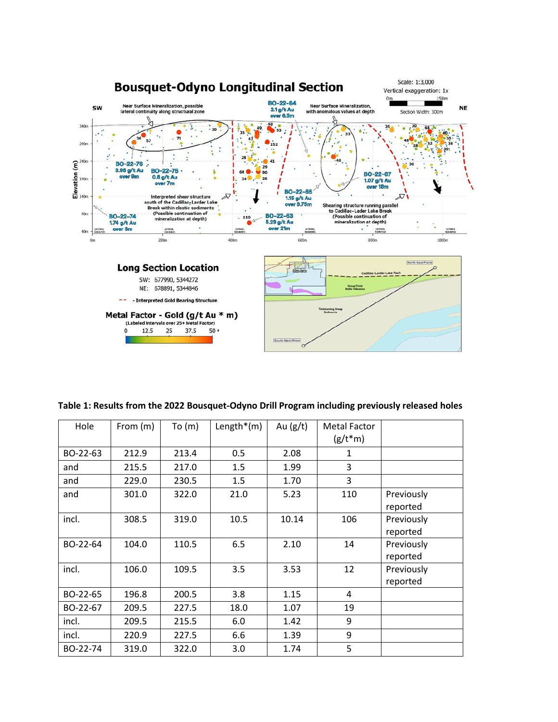

| Table 1: Results from the 2022 Bousquet-Odyno Drill Program including previously released holes |  |  |  |
|-------------------------------------------------------------------------------------------------|--|--|--|
|-------------------------------------------------------------------------------------------------|--|--|--|

| Hole     | From (m) | To(m) | Length $*(m)$ | Au $(g/t)$ | <b>Metal Factor</b><br>$(g/t*m)$ |                        |
|----------|----------|-------|---------------|------------|----------------------------------|------------------------|
| BO-22-63 | 212.9    | 213.4 | 0.5           | 2.08       | 1                                |                        |
| and      | 215.5    | 217.0 | 1.5           | 1.99       | 3                                |                        |
| and      | 229.0    | 230.5 | 1.5           | 1.70       | 3                                |                        |
| and      | 301.0    | 322.0 | 21.0          | 5.23       | 110                              | Previously<br>reported |
| incl.    | 308.5    | 319.0 | 10.5          | 10.14      | 106                              | Previously<br>reported |
| BO-22-64 | 104.0    | 110.5 | 6.5           | 2.10       | 14                               | Previously<br>reported |
| incl.    | 106.0    | 109.5 | 3.5           | 3.53       | 12                               | Previously<br>reported |
| BO-22-65 | 196.8    | 200.5 | 3.8           | 1.15       | 4                                |                        |
| BO-22-67 | 209.5    | 227.5 | 18.0          | 1.07       | 19                               |                        |
| incl.    | 209.5    | 215.5 | 6.0           | 1.42       | 9                                |                        |
| incl.    | 220.9    | 227.5 | 6.6           | 1.39       | 9                                |                        |
| BO-22-74 | 319.0    | 322.0 | 3.0           | 1.74       | 5                                |                        |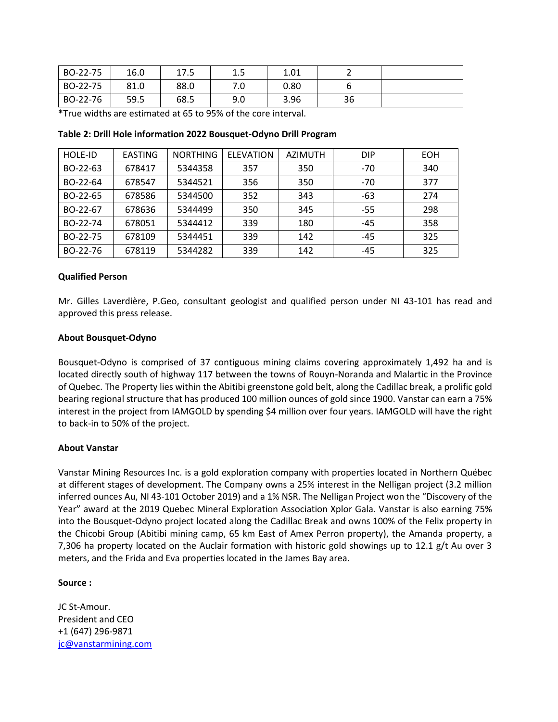| BO-22-75 | 16.0 | 17.5 | ∸. ∟ | 1.01 |    |  |
|----------|------|------|------|------|----|--|
| BO-22-75 | 81.0 | 88.0 | . ب  | 0.80 |    |  |
| BO-22-76 | 59.5 | 68.5 | 9.0  | 3.96 | 36 |  |

**\***True widths are estimated at 65 to 95% of the core interval.

| <b>HOLE-ID</b> | <b>EASTING</b> | <b>NORTHING</b> | <b>ELEVATION</b> | AZIMUTH | <b>DIP</b> | <b>EOH</b> |
|----------------|----------------|-----------------|------------------|---------|------------|------------|
| BO-22-63       | 678417         | 5344358         | 357              | 350     | $-70$      | 340        |
| BO-22-64       | 678547         | 5344521         | 356              | 350     | $-70$      | 377        |
| BO-22-65       | 678586         | 5344500         | 352              | 343     | -63        | 274        |
| BO-22-67       | 678636         | 5344499         | 350              | 345     | $-55$      | 298        |
| BO-22-74       | 678051         | 5344412         | 339              | 180     | -45        | 358        |
| BO-22-75       | 678109         | 5344451         | 339              | 142     | $-45$      | 325        |
| BO-22-76       | 678119         | 5344282         | 339              | 142     | $-45$      | 325        |

### **Table 2: Drill Hole information 2022 Bousquet-Odyno Drill Program**

#### **Qualified Person**

Mr. Gilles Laverdière, P.Geo, consultant geologist and qualified person under NI 43-101 has read and approved this press release.

#### **About Bousquet-Odyno**

Bousquet-Odyno is comprised of 37 contiguous mining claims covering approximately 1,492 ha and is located directly south of highway 117 between the towns of Rouyn-Noranda and Malartic in the Province of Quebec. The Property lies within the Abitibi greenstone gold belt, along the Cadillac break, a prolific gold bearing regional structure that has produced 100 million ounces of gold since 1900. Vanstar can earn a 75% interest in the project from IAMGOLD by spending \$4 million over four years. IAMGOLD will have the right to back-in to 50% of the project.

#### **About Vanstar**

Vanstar Mining Resources Inc. is a gold exploration company with properties located in Northern Québec at different stages of development. The Company owns a 25% interest in the Nelligan project (3.2 million inferred ounces Au, NI 43-101 October 2019) and a 1% NSR. The Nelligan Project won the "Discovery of the Year" award at the 2019 Quebec Mineral Exploration Association Xplor Gala. Vanstar is also earning 75% into the Bousquet-Odyno project located along the Cadillac Break and owns 100% of the Felix property in the Chicobi Group (Abitibi mining camp, 65 km East of Amex Perron property), the Amanda property, a 7,306 ha property located on the Auclair formation with historic gold showings up to 12.1 g/t Au over 3 meters, and the Frida and Eva properties located in the James Bay area.

#### **Source :**

JC St-Amour. President and CEO +1 (647) 296-9871 [jc@vanstarmining.com](mailto:jc@vanstarmining.com)